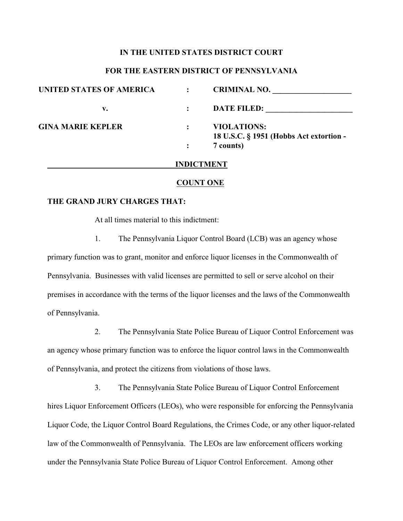## **IN THE UNITED STATES DISTRICT COURT**

### **FOR THE EASTERN DISTRICT OF PENNSYLVANIA**

| <b>UNITED STATES OF AMERICA</b> | <b>CRIMINAL NO.</b>                                           |
|---------------------------------|---------------------------------------------------------------|
| v.                              | <b>DATE FILED:</b>                                            |
| <b>GINA MARIE KEPLER</b>        | <b>VIOLATIONS:</b><br>18 U.S.C. § 1951 (Hobbs Act extortion - |
|                                 | 7 counts)                                                     |
|                                 | <b>INDICTMENT</b>                                             |

#### **COUNT ONE**

# **THE GRAND JURY CHARGES THAT:**

At all times material to this indictment:

1. The Pennsylvania Liquor Control Board (LCB) was an agency whose primary function was to grant, monitor and enforce liquor licenses in the Commonwealth of Pennsylvania. Businesses with valid licenses are permitted to sell or serve alcohol on their premises in accordance with the terms of the liquor licenses and the laws of the Commonwealth of Pennsylvania.

2. The Pennsylvania State Police Bureau of Liquor Control Enforcement was an agency whose primary function was to enforce the liquor control laws in the Commonwealth of Pennsylvania, and protect the citizens from violations of those laws.

3. The Pennsylvania State Police Bureau of Liquor Control Enforcement hires Liquor Enforcement Officers (LEOs), who were responsible for enforcing the Pennsylvania Liquor Code, the Liquor Control Board Regulations, the Crimes Code, or any other liquor-related law of the Commonwealth of Pennsylvania. The LEOs are law enforcement officers working under the Pennsylvania State Police Bureau of Liquor Control Enforcement. Among other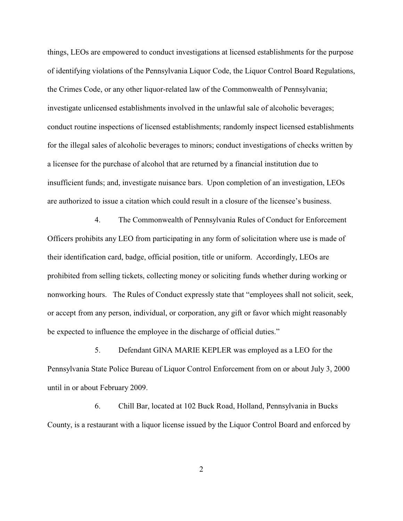things, LEOs are empowered to conduct investigations at licensed establishments for the purpose of identifying violations of the Pennsylvania Liquor Code, the Liquor Control Board Regulations, the Crimes Code, or any other liquor-related law of the Commonwealth of Pennsylvania; investigate unlicensed establishments involved in the unlawful sale of alcoholic beverages; conduct routine inspections of licensed establishments; randomly inspect licensed establishments for the illegal sales of alcoholic beverages to minors; conduct investigations of checks written by a licensee for the purchase of alcohol that are returned by a financial institution due to insufficient funds; and, investigate nuisance bars. Upon completion of an investigation, LEOs are authorized to issue a citation which could result in a closure of the licensee's business.

4. The Commonwealth of Pennsylvania Rules of Conduct for Enforcement Officers prohibits any LEO from participating in any form of solicitation where use is made of their identification card, badge, official position, title or uniform. Accordingly, LEOs are prohibited from selling tickets, collecting money or soliciting funds whether during working or nonworking hours. The Rules of Conduct expressly state that "employees shall not solicit, seek, or accept from any person, individual, or corporation, any gift or favor which might reasonably be expected to influence the employee in the discharge of official duties."

5. Defendant GINA MARIE KEPLER was employed as a LEO for the Pennsylvania State Police Bureau of Liquor Control Enforcement from on or about July 3, 2000 until in or about February 2009.

6. Chill Bar, located at 102 Buck Road, Holland, Pennsylvania in Bucks County, is a restaurant with a liquor license issued by the Liquor Control Board and enforced by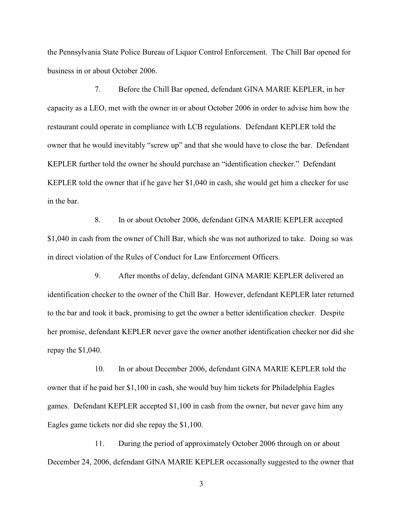the Pennsylvania State Police Bureau of Liquor Control Enforcement. The Chill Bar opened for business in or about October 2006.

7. Before the Chill Bar opened, defendant GINA MARIE KEPLER, in her capacity as a LEO, met with the owner in or about October 2006 in order to advise him how the restaurant could operate in compliance with LCB regulations. Defendant KEPLER told the owner that he would inevitably "screw up" and that she would have to close the bar. Defendant KEPLER further told the owner he should purchase an "identification checker." Defendant KEPLER told the owner that if he gave her \$1,040 in cash, she would get him a checker for use in the bar.

8. In or about October 2006, defendant GINA MARIE KEPLER accepted \$1,040 in cash from the owner of Chill Bar, which she was not authorized to take. Doing so was in direct violation of the Rules of Conduct for Law Enforcement Officers.

9. After months of delay, defendant GINA MARIE KEPLER delivered an identification checker to the owner of the Chill Bar. However, defendant KEPLER later returned to the bar and took it back, promising to get the owner a better identification checker. Despite her promise, defendant KEPLER never gave the owner another identification checker nor did she repay the \$1,040.

10. In or about December 2006, defendant GINA MARIE KEPLER told the owner that if he paid her \$1,100 in cash, she would buy him tickets for Philadelphia Eagles games. Defendant KEPLER accepted \$1,100 in cash from the owner, but never gave him any Eagles game tickets nor did she repay the \$1,100.

11. During the period of approximately October 2006 through on or about December 24, 2006, defendant GINA MARIE KEPLER occasionally suggested to the owner that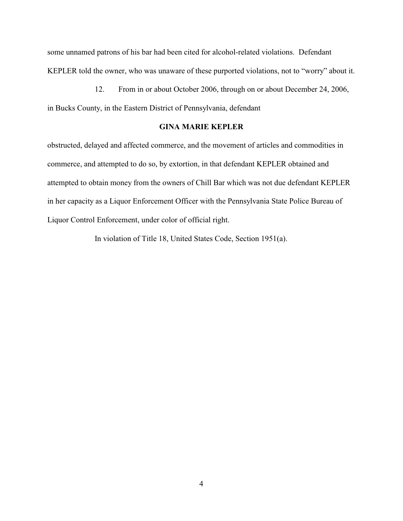some unnamed patrons of his bar had been cited for alcohol-related violations. Defendant KEPLER told the owner, who was unaware of these purported violations, not to "worry" about it.

12. From in or about October 2006, through on or about December 24, 2006, in Bucks County, in the Eastern District of Pennsylvania, defendant

## **GINA MARIE KEPLER**

obstructed, delayed and affected commerce, and the movement of articles and commodities in commerce, and attempted to do so, by extortion, in that defendant KEPLER obtained and attempted to obtain money from the owners of Chill Bar which was not due defendant KEPLER in her capacity as a Liquor Enforcement Officer with the Pennsylvania State Police Bureau of Liquor Control Enforcement, under color of official right.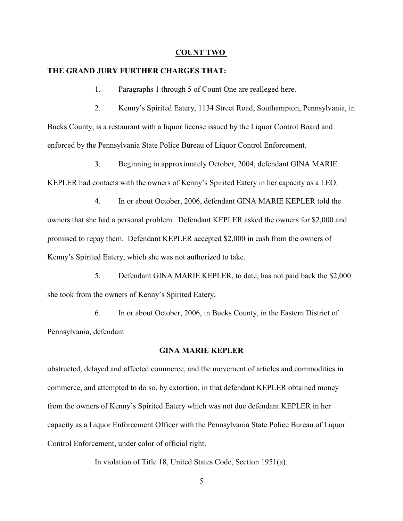### **COUNT TWO**

### **THE GRAND JURY FURTHER CHARGES THAT:**

1. Paragraphs 1 through 5 of Count One are realleged here.

2. Kenny's Spirited Eatery, 1134 Street Road, Southampton, Pennsylvania, in Bucks County, is a restaurant with a liquor license issued by the Liquor Control Board and enforced by the Pennsylvania State Police Bureau of Liquor Control Enforcement.

3. Beginning in approximately October, 2004, defendant GINA MARIE KEPLER had contacts with the owners of Kenny's Spirited Eatery in her capacity as a LEO.

4. In or about October, 2006, defendant GINA MARIE KEPLER told the owners that she had a personal problem. Defendant KEPLER asked the owners for \$2,000 and promised to repay them. Defendant KEPLER accepted \$2,000 in cash from the owners of Kenny's Spirited Eatery, which she was not authorized to take.

5. Defendant GINA MARIE KEPLER, to date, has not paid back the \$2,000 she took from the owners of Kenny's Spirited Eatery.

6. In or about October, 2006, in Bucks County, in the Eastern District of Pennsylvania, defendant

### **GINA MARIE KEPLER**

obstructed, delayed and affected commerce, and the movement of articles and commodities in commerce, and attempted to do so, by extortion, in that defendant KEPLER obtained money from the owners of Kenny's Spirited Eatery which was not due defendant KEPLER in her capacity as a Liquor Enforcement Officer with the Pennsylvania State Police Bureau of Liquor Control Enforcement, under color of official right.

In violation of Title 18, United States Code, Section 1951(a).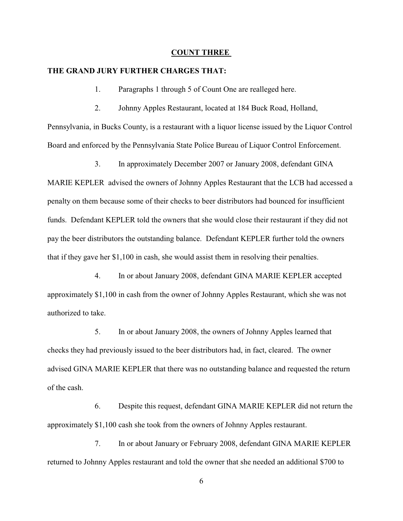### **COUNT THREE**

### **THE GRAND JURY FURTHER CHARGES THAT:**

1. Paragraphs 1 through 5 of Count One are realleged here.

2. Johnny Apples Restaurant, located at 184 Buck Road, Holland, Pennsylvania, in Bucks County, is a restaurant with a liquor license issued by the Liquor Control Board and enforced by the Pennsylvania State Police Bureau of Liquor Control Enforcement.

3. In approximately December 2007 or January 2008, defendant GINA MARIE KEPLER advised the owners of Johnny Apples Restaurant that the LCB had accessed a penalty on them because some of their checks to beer distributors had bounced for insufficient funds. Defendant KEPLER told the owners that she would close their restaurant if they did not pay the beer distributors the outstanding balance. Defendant KEPLER further told the owners that if they gave her \$1,100 in cash, she would assist them in resolving their penalties.

4. In or about January 2008, defendant GINA MARIE KEPLER accepted approximately \$1,100 in cash from the owner of Johnny Apples Restaurant, which she was not authorized to take.

5. In or about January 2008, the owners of Johnny Apples learned that checks they had previously issued to the beer distributors had, in fact, cleared. The owner advised GINA MARIE KEPLER that there was no outstanding balance and requested the return of the cash.

6. Despite this request, defendant GINA MARIE KEPLER did not return the approximately \$1,100 cash she took from the owners of Johnny Apples restaurant.

7. In or about January or February 2008, defendant GINA MARIE KEPLER returned to Johnny Apples restaurant and told the owner that she needed an additional \$700 to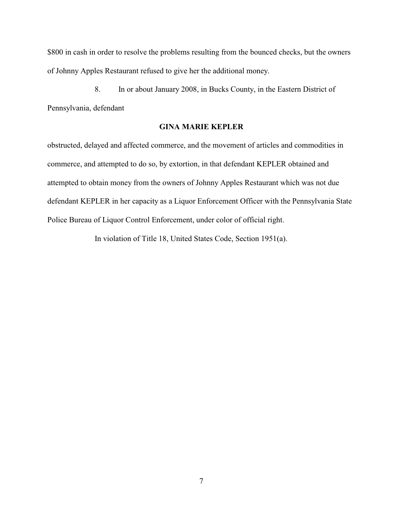\$800 in cash in order to resolve the problems resulting from the bounced checks, but the owners of Johnny Apples Restaurant refused to give her the additional money.

8. In or about January 2008, in Bucks County, in the Eastern District of Pennsylvania, defendant

# **GINA MARIE KEPLER**

obstructed, delayed and affected commerce, and the movement of articles and commodities in commerce, and attempted to do so, by extortion, in that defendant KEPLER obtained and attempted to obtain money from the owners of Johnny Apples Restaurant which was not due defendant KEPLER in her capacity as a Liquor Enforcement Officer with the Pennsylvania State Police Bureau of Liquor Control Enforcement, under color of official right.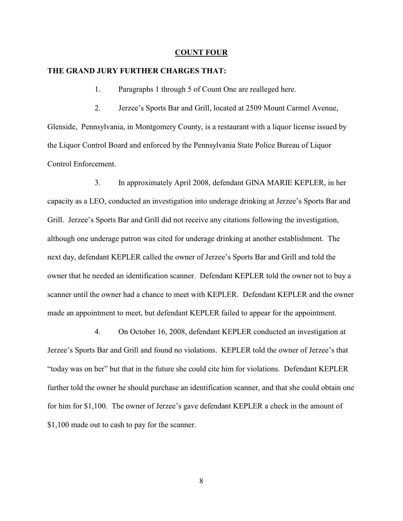### **COUNT FOUR**

### **THE GRAND JURY FURTHER CHARGES THAT:**

1. Paragraphs 1 through 5 of Count One are realleged here.

2. Jerzee's Sports Bar and Grill, located at 2509 Mount Carmel Avenue, Glenside, Pennsylvania, in Montgomery County, is a restaurant with a liquor license issued by the Liquor Control Board and enforced by the Pennsylvania State Police Bureau of Liquor Control Enforcement.

3. In approximately April 2008, defendant GINA MARIE KEPLER, in her capacity as a LEO, conducted an investigation into underage drinking at Jerzee's Sports Bar and Grill. Jerzee's Sports Bar and Grill did not receive any citations following the investigation, although one underage patron was cited for underage drinking at another establishment. The next day, defendant KEPLER called the owner of Jerzee's Sports Bar and Grill and told the owner that he needed an identification scanner. Defendant KEPLER told the owner not to buy a scanner until the owner had a chance to meet with KEPLER. Defendant KEPLER and the owner made an appointment to meet, but defendant KEPLER failed to appear for the appointment.

4. On October 16, 2008, defendant KEPLER conducted an investigation at Jerzee's Sports Bar and Grill and found no violations. KEPLER told the owner of Jerzee's that "today was on her" but that in the future she could cite him for violations. Defendant KEPLER further told the owner he should purchase an identification scanner, and that she could obtain one for him for \$1,100. The owner of Jerzee's gave defendant KEPLER a check in the amount of \$1,100 made out to cash to pay for the scanner.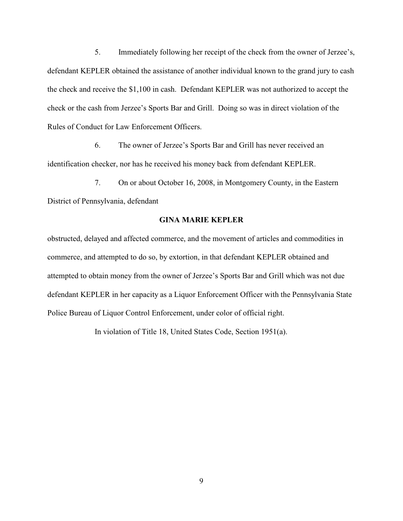5. Immediately following her receipt of the check from the owner of Jerzee's, defendant KEPLER obtained the assistance of another individual known to the grand jury to cash the check and receive the \$1,100 in cash. Defendant KEPLER was not authorized to accept the check or the cash from Jerzee's Sports Bar and Grill. Doing so was in direct violation of the Rules of Conduct for Law Enforcement Officers.

6. The owner of Jerzee's Sports Bar and Grill has never received an identification checker, nor has he received his money back from defendant KEPLER.

7. On or about October 16, 2008, in Montgomery County, in the Eastern District of Pennsylvania, defendant

### **GINA MARIE KEPLER**

obstructed, delayed and affected commerce, and the movement of articles and commodities in commerce, and attempted to do so, by extortion, in that defendant KEPLER obtained and attempted to obtain money from the owner of Jerzee's Sports Bar and Grill which was not due defendant KEPLER in her capacity as a Liquor Enforcement Officer with the Pennsylvania State Police Bureau of Liquor Control Enforcement, under color of official right.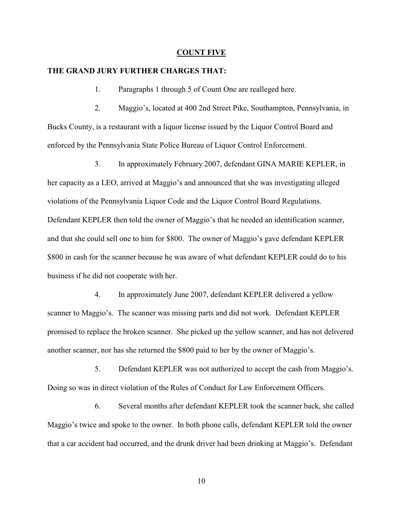### **COUNT FIVE**

### **THE GRAND JURY FURTHER CHARGES THAT:**

1. Paragraphs 1 through 5 of Count One are realleged here.

2. Maggio's, located at 400 2nd Street Pike, Southampton, Pennsylvania, in Bucks County, is a restaurant with a liquor license issued by the Liquor Control Board and enforced by the Pennsylvania State Police Bureau of Liquor Control Enforcement.

3. In approximately February 2007, defendant GINA MARIE KEPLER, in her capacity as a LEO, arrived at Maggio's and announced that she was investigating alleged violations of the Pennsylvania Liquor Code and the Liquor Control Board Regulations. Defendant KEPLER then told the owner of Maggio's that he needed an identification scanner, and that she could sell one to him for \$800. The owner of Maggio's gave defendant KEPLER \$800 in cash for the scanner because he was aware of what defendant KEPLER could do to his business if he did not cooperate with her.

4. In approximately June 2007, defendant KEPLER delivered a yellow scanner to Maggio's. The scanner was missing parts and did not work. Defendant KEPLER promised to replace the broken scanner. She picked up the yellow scanner, and has not delivered another scanner, nor has she returned the \$800 paid to her by the owner of Maggio's.

5. Defendant KEPLER was not authorized to accept the cash from Maggio's. Doing so was in direct violation of the Rules of Conduct for Law Enforcement Officers.

6. Several months after defendant KEPLER took the scanner back, she called Maggio's twice and spoke to the owner. In both phone calls, defendant KEPLER told the owner that a car accident had occurred, and the drunk driver had been drinking at Maggio's. Defendant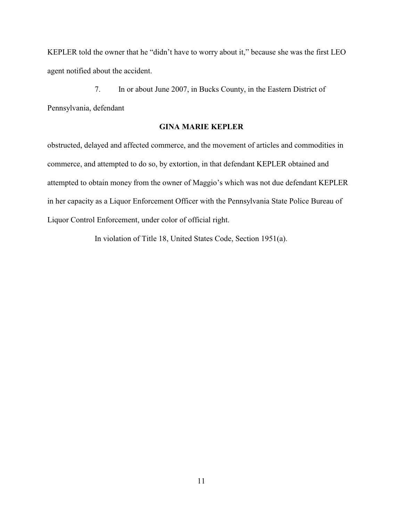KEPLER told the owner that he "didn't have to worry about it," because she was the first LEO agent notified about the accident.

7. In or about June 2007, in Bucks County, in the Eastern District of Pennsylvania, defendant

# **GINA MARIE KEPLER**

obstructed, delayed and affected commerce, and the movement of articles and commodities in commerce, and attempted to do so, by extortion, in that defendant KEPLER obtained and attempted to obtain money from the owner of Maggio's which was not due defendant KEPLER in her capacity as a Liquor Enforcement Officer with the Pennsylvania State Police Bureau of Liquor Control Enforcement, under color of official right.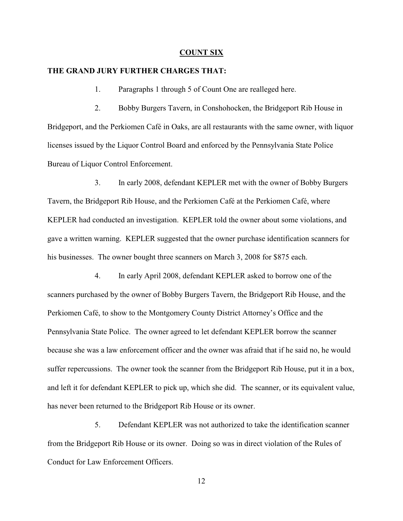### **COUNT SIX**

### **THE GRAND JURY FURTHER CHARGES THAT:**

1. Paragraphs 1 through 5 of Count One are realleged here.

2. Bobby Burgers Tavern, in Conshohocken, the Bridgeport Rib House in Bridgeport, and the Perkiomen Café in Oaks, are all restaurants with the same owner, with liquor licenses issued by the Liquor Control Board and enforced by the Pennsylvania State Police Bureau of Liquor Control Enforcement.

3. In early 2008, defendant KEPLER met with the owner of Bobby Burgers Tavern, the Bridgeport Rib House, and the Perkiomen Café at the Perkiomen Café, where KEPLER had conducted an investigation. KEPLER told the owner about some violations, and gave a written warning. KEPLER suggested that the owner purchase identification scanners for his businesses. The owner bought three scanners on March 3, 2008 for \$875 each.

4. In early April 2008, defendant KEPLER asked to borrow one of the scanners purchased by the owner of Bobby Burgers Tavern, the Bridgeport Rib House, and the Perkiomen Café, to show to the Montgomery County District Attorney's Office and the Pennsylvania State Police. The owner agreed to let defendant KEPLER borrow the scanner because she was a law enforcement officer and the owner was afraid that if he said no, he would suffer repercussions. The owner took the scanner from the Bridgeport Rib House, put it in a box, and left it for defendant KEPLER to pick up, which she did. The scanner, or its equivalent value, has never been returned to the Bridgeport Rib House or its owner.

5. Defendant KEPLER was not authorized to take the identification scanner from the Bridgeport Rib House or its owner. Doing so was in direct violation of the Rules of Conduct for Law Enforcement Officers.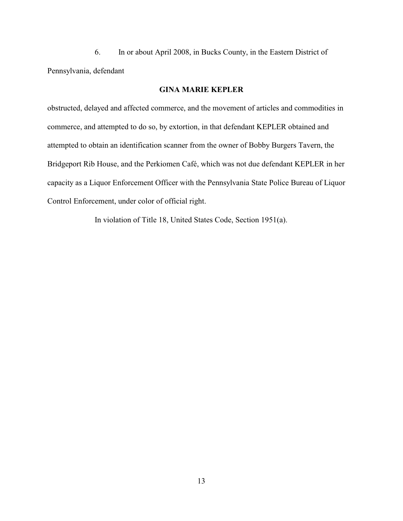6. In or about April 2008, in Bucks County, in the Eastern District of Pennsylvania, defendant

# **GINA MARIE KEPLER**

obstructed, delayed and affected commerce, and the movement of articles and commodities in commerce, and attempted to do so, by extortion, in that defendant KEPLER obtained and attempted to obtain an identification scanner from the owner of Bobby Burgers Tavern, the Bridgeport Rib House, and the Perkiomen Café, which was not due defendant KEPLER in her capacity as a Liquor Enforcement Officer with the Pennsylvania State Police Bureau of Liquor Control Enforcement, under color of official right.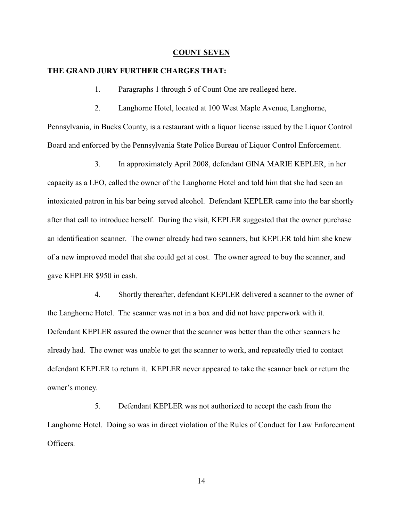### **COUNT SEVEN**

### **THE GRAND JURY FURTHER CHARGES THAT:**

1. Paragraphs 1 through 5 of Count One are realleged here.

2. Langhorne Hotel, located at 100 West Maple Avenue, Langhorne, Pennsylvania, in Bucks County, is a restaurant with a liquor license issued by the Liquor Control Board and enforced by the Pennsylvania State Police Bureau of Liquor Control Enforcement.

3. In approximately April 2008, defendant GINA MARIE KEPLER, in her capacity as a LEO, called the owner of the Langhorne Hotel and told him that she had seen an intoxicated patron in his bar being served alcohol. Defendant KEPLER came into the bar shortly after that call to introduce herself. During the visit, KEPLER suggested that the owner purchase an identification scanner. The owner already had two scanners, but KEPLER told him she knew of a new improved model that she could get at cost. The owner agreed to buy the scanner, and gave KEPLER \$950 in cash.

4. Shortly thereafter, defendant KEPLER delivered a scanner to the owner of the Langhorne Hotel. The scanner was not in a box and did not have paperwork with it. Defendant KEPLER assured the owner that the scanner was better than the other scanners he already had. The owner was unable to get the scanner to work, and repeatedly tried to contact defendant KEPLER to return it. KEPLER never appeared to take the scanner back or return the owner's money.

5. Defendant KEPLER was not authorized to accept the cash from the Langhorne Hotel. Doing so was in direct violation of the Rules of Conduct for Law Enforcement Officers.